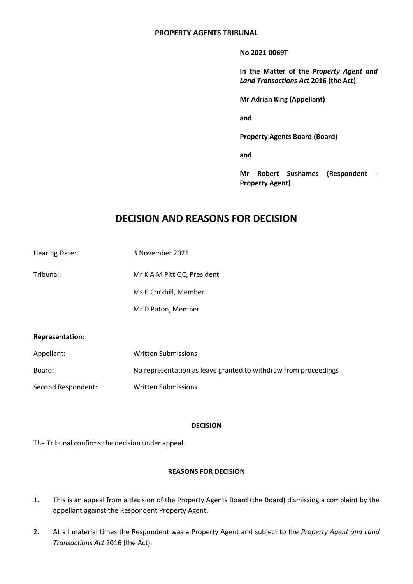## **PROPERTY AGENTS TRIBUNAL**

**No 2021-0069T**

**In the Matter of the** *Property Agent and Land Transactions Act* **2016 (the Act)**

**Mr Adrian King (Appellant)**

**and**

**Property Agents Board (Board)**

**and**

**Mr Robert Sushames (Respondent - Property Agent)**

# **DECISION AND REASONS FOR DECISION**

Hearing Date: 3 November 2021

Tribunal: Mr K A M Pitt QC, President

Ms P Corkhill, Member

Mr D Paton, Member

### **Representation:**

| Appellant:         | Written Submissions                                             |
|--------------------|-----------------------------------------------------------------|
| Board:             | No representation as leave granted to withdraw from proceedings |
| Second Respondent: | Written Submissions                                             |

### **DECISION**

The Tribunal confirms the decision under appeal.

### **REASONS FOR DECISION**

- 1. This is an appeal from a decision of the Property Agents Board (the Board) dismissing a complaint by the appellant against the Respondent Property Agent.
- 2. At all material times the Respondent was a Property Agent and subject to the *Property Agent and Land Transactions Act* 2016 (the Act).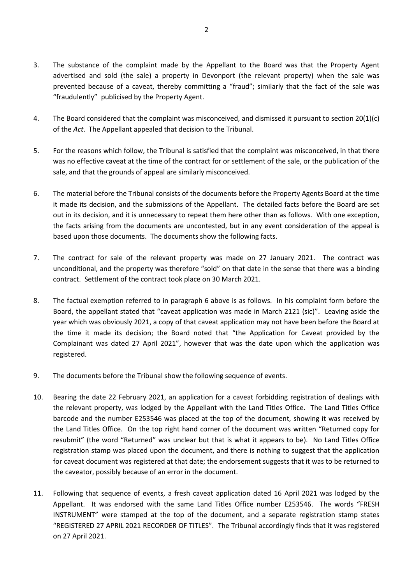- 3. The substance of the complaint made by the Appellant to the Board was that the Property Agent advertised and sold (the sale) a property in Devonport (the relevant property) when the sale was prevented because of a caveat, thereby committing a "fraud"; similarly that the fact of the sale was "fraudulently" publicised by the Property Agent.
- 4. The Board considered that the complaint was misconceived, and dismissed it pursuant to section 20(1)(c) of the *Act*. The Appellant appealed that decision to the Tribunal.
- 5. For the reasons which follow, the Tribunal is satisfied that the complaint was misconceived, in that there was no effective caveat at the time of the contract for or settlement of the sale, or the publication of the sale, and that the grounds of appeal are similarly misconceived.
- 6. The material before the Tribunal consists of the documents before the Property Agents Board at the time it made its decision, and the submissions of the Appellant. The detailed facts before the Board are set out in its decision, and it is unnecessary to repeat them here other than as follows. With one exception, the facts arising from the documents are uncontested, but in any event consideration of the appeal is based upon those documents. The documents show the following facts.
- 7. The contract for sale of the relevant property was made on 27 January 2021. The contract was unconditional, and the property was therefore "sold" on that date in the sense that there was a binding contract. Settlement of the contract took place on 30 March 2021.
- 8. The factual exemption referred to in paragraph 6 above is as follows. In his complaint form before the Board, the appellant stated that "caveat application was made in March 2121 (sic)". Leaving aside the year which was obviously 2021, a copy of that caveat application may not have been before the Board at the time it made its decision; the Board noted that "the Application for Caveat provided by the Complainant was dated 27 April 2021", however that was the date upon which the application was registered.
- 9. The documents before the Tribunal show the following sequence of events.
- 10. Bearing the date 22 February 2021, an application for a caveat forbidding registration of dealings with the relevant property, was lodged by the Appellant with the Land Titles Office. The Land Titles Office barcode and the number E253546 was placed at the top of the document, showing it was received by the Land Titles Office. On the top right hand corner of the document was written "Returned copy for resubmit" (the word "Returned" was unclear but that is what it appears to be). No Land Titles Office registration stamp was placed upon the document, and there is nothing to suggest that the application for caveat document was registered at that date; the endorsement suggests that it was to be returned to the caveator, possibly because of an error in the document.
- 11. Following that sequence of events, a fresh caveat application dated 16 April 2021 was lodged by the Appellant. It was endorsed with the same Land Titles Office number E253546. The words "FRESH INSTRUMENT" were stamped at the top of the document, and a separate registration stamp states "REGISTERED 27 APRIL 2021 RECORDER OF TITLES". The Tribunal accordingly finds that it was registered on 27 April 2021.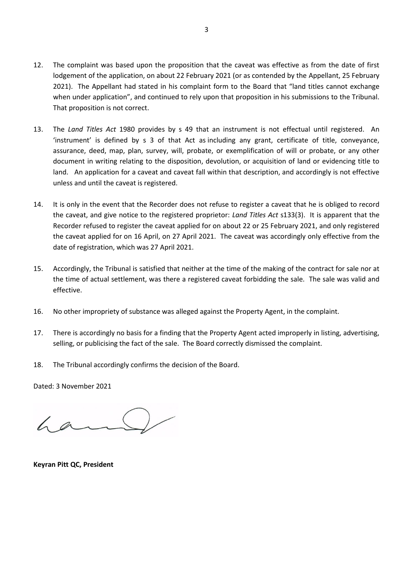- 12. The complaint was based upon the proposition that the caveat was effective as from the date of first lodgement of the application, on about 22 February 2021 (or as contended by the Appellant, 25 February 2021). The Appellant had stated in his complaint form to the Board that "land titles cannot exchange when under application", and continued to rely upon that proposition in his submissions to the Tribunal. That proposition is not correct.
- 13. The *Land Titles Act* 1980 provides by s 49 that an instrument is not effectual until registered. An 'instrument' is defined by s 3 of that Act as including any grant, certificate of title, conveyance, assurance, deed, map, plan, survey, will, probate, or exemplification of will or probate, or any other document in writing relating to the disposition, devolution, or acquisition of land or evidencing title to land. An application for a caveat and caveat fall within that description, and accordingly is not effective unless and until the caveat is registered.
- 14. It is only in the event that the Recorder does not refuse to register a caveat that he is obliged to record the caveat, and give notice to the registered proprietor: *Land Titles Act* s133(3). It is apparent that the Recorder refused to register the caveat applied for on about 22 or 25 February 2021, and only registered the caveat applied for on 16 April, on 27 April 2021. The caveat was accordingly only effective from the date of registration, which was 27 April 2021.
- 15. Accordingly, the Tribunal is satisfied that neither at the time of the making of the contract for sale nor at the time of actual settlement, was there a registered caveat forbidding the sale. The sale was valid and effective.
- 16. No other impropriety of substance was alleged against the Property Agent, in the complaint.
- 17. There is accordingly no basis for a finding that the Property Agent acted improperly in listing, advertising, selling, or publicising the fact of the sale. The Board correctly dismissed the complaint.
- 18. The Tribunal accordingly confirms the decision of the Board.

Dated: 3 November 2021

 $6a$ 

**Keyran Pitt QC, President**